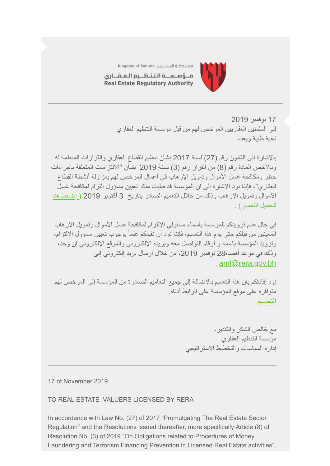

مملكة البحــرين Kingdom of Bahrain

مــؤسـســة الـتـنـظــيم الـعـقـــارى Real Estate Regulatory Authority

> 17 نوفمبر 2019 إلى المثمنین العقاریین المرخص لھم من قبل مؤسسة التنظیم العقاري تحیة طیبة وبعد،

بالإشارة إلى القانون رقم (27) لسنة 2017 بشأن تنظیم القطاع العقاري والقرارات المنظمة لھ وبالأخص المادة رقم (8) من القرار رقم (3) لسنة 2019 بشأن "الالتزامات المتعلقة بإجراءات حظر ومكافحة غسل الأموال وتمویل الإرھاب في أعمال المرخص لھم بمزاولة أنشطة القطاع العقاري"، فإننا نود الاشارة الى ان المؤسسة قد طلبت منكم تعیین مسؤول التزام لمكافحة غسل [الأموال وتمویل الإرھاب وذلك من خلال التعمیم الصادر بتاریخ 3 أكتوبر 2019 \( إضغط ھنا](https://www.rera.gov.bh/Media/downloads/Circulars/Circular-RERA) لتحمیل التعمیم ) .

في حال عدم تزویدكم للمؤسسة بأسماء مسئولي الإلتزام لمكافحة غسل الأموال وتمویل الإرھاب المعینین من قبلكم حتى یوم ھذا التعمیم، فإننا نود أن نفیدكم علماً بوجوب تعیین مسؤول الالتزام، وتزوید المؤسسة باسمھ و أرقام التواصل معھ وبریده الإلكتروني والموقع الإلكتروني إن وجد، وذلك في موعد أقصاه28 نوفمبر 2019، من خلال إرسال بريد إلكتروني إلى . [aml@rera.gov.bh](mailto:aml@rera.gov.bh)

نود إفادتكم بأن ھذا التعمیم بالإضافة إلى جمیع التعامیم الصادرة من المؤسسة إلى المرخص لھم متوافرة على موقع المؤسسة على الرابط أدناه. [التعامیم](https://www.rera.gov.bh/category/regulations)

> مع خالص الشكر والتقدیر، مؤسسة التنظیم العقاري إدارة السیاسات والتخطیط الاستراتیجي

17 of November 2019

TO REAL ESTATE VALUERS LICENSED BY RERA

In accordance with Law No. (27) of 2017 "Promulgating The Real Estate Sector Regulation" and the Resolutions issued thereafter, more specifically Article (8) of Resolution No. (3) of 2019 "On Obligations related to Procedures of Money Laundering and Terrorism Financing Prevention in Licensed Real Estate activities",